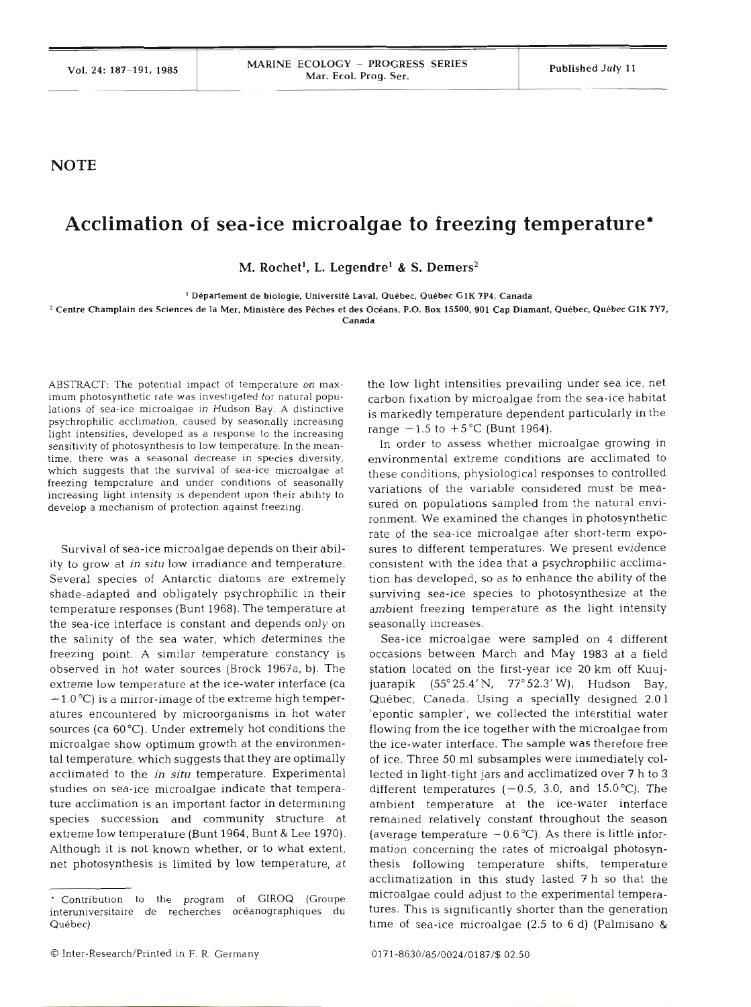## **NOTE**

## **Acclimation of sea-ice microalgae to freezing temperature\***

 $M.$  Rochet<sup>1</sup>, L. Legendre<sup>1</sup> & S. Demers<sup>2</sup>

' **Departement de biologie. Universite Laval. Quebec. Quebec GlK 7P4. Canada** 

<sup>2</sup> Centre Champlain des Sciences de la Mer, Ministère des Pêches et des Océans, P.O. Box 15500, 901 Cap Diamant, Québec, Québec G1K 7Y7,

**Canada** 

**ABSTRACT: The potential impact of temperature on maximum photosynthetic rate was investigated for natural popu**lations of sea-ice microalgae in Hudson Bay. A distinctive **psychrophilic acclimation, caused by seasonally increasing light intensities, developed as a response to the increasing sensitivity of photosynthesis to low temperature. In the meantime, there was a seasonal decrease in species diversity, which suggests that the survival of sea-ice microalgae at freezing temperature and under conditions of seasonally increasing light intensity is dependent upon their ability to develop a mechanism of protection against freezing.** 

Survival of sea-ice microalgae depends on their ability to grow at in *situ* low irradiance and temperature. Several species of Antarctic diatoms are extremely shade-adapted and obligately psychrophilic in their temperature responses (Bunt 1968). The temperature at the sea-ice interface is constant and depends only on the salinity of the sea water, which determines the freezing point. A similar temperature constancy is observed in hot water sources (Brock 1967a, b). The extreme low temperature at the ice-water interface (ca  $-1.0\text{ °C}$ ) is a mirror-image of the extreme high temperatures encountered by microorganisms in hot water sources (ca 60°C). Under extremely hot conditions the microalgae show optimum growth at the environmental temperature, which suggests that they are optimally acclimated to the in situ temperature. Experimental studies on sea-ice microalgae indicate that temperature acclimation is an important factor in determining species succession and community structure at extreme low temperature (Bunt 1964, Bunt & Lee 1970). Although it is not known whether, or to what extent, net photosynthesis is limited by low temperature, at the low light intensities prevailing under sea ice, net carbon fixation by microalgae from the sea-ice habitat is markedly temperature dependent particularly in the range  $-1.5$  to  $+5^{\circ}$ C (Bunt 1964).

In order to assess whether microalgae growing in environmental extreme conditions are acclimated these conditions, physiological responses to controlled variations of the variable considered must be measured on populations sampled from the natural environment. We examined the changes in photosynthetic rate of the sea-ice microalgae after short-term exposures to different temperatures. We present evidence consistent with the idea that a psychrophilic acclimation has developed, so as to enhance the ability of the surviving sea-ice species to photosynthesize at the ambient freezing temperature as the light intensity seasonally increases.

Sea-ice microalgae were sampled on 4 different occasions between March and May 1983 at a field station located on the first-year ice 20 km off Kuujjuarapik (55°25.4'N, 77°52.3'W), Hudson Bay, Québec, Canada. Using a specially designed 2.01 'epontic sampler', we collected the interstitial water flowing from the ice together with the microalgae from the ice-water interface. The sample was therefore free of ice. Three 50 m1 subsamples were immediately collected in light-tight jars and acclimatized over 7 h to **3**  different temperatures  $(-0.5, 3.0, \text{ and } 15.0^{\circ}\text{C})$ . The ambient temperature at the ice-water interface remained relatively constant throughout the season (average temperature  $-0.6^{\circ}$ C). As there is little information concerning the rates of microalgal photosynthesis following temperature shifts, temperature acclimatization in this study lasted 7 h so that the microalgae could adjust to the experimental temperatures. This is significantly shorter than the generation time of sea-ice microalgae (2.5 to 6 d) (Palmisano &

<sup>&#</sup>x27; **Contribution to the program of GIROQ (Groupe interuniversitaire de recherches oceanographiques du Quebec)**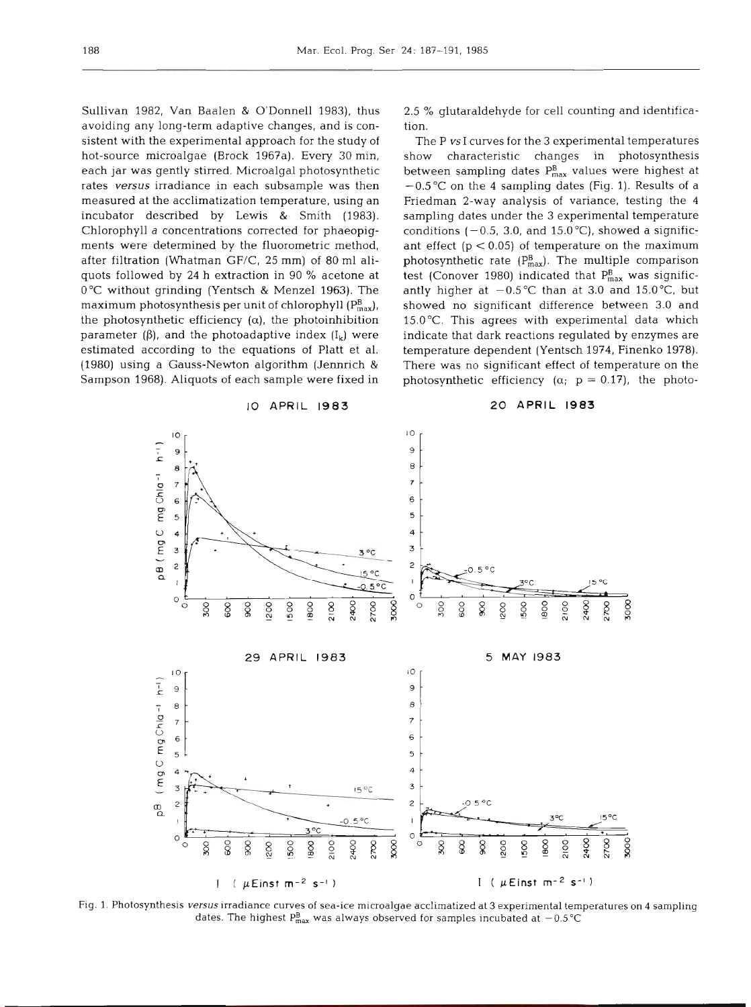Sullivan 1982, Van Baalen & O'Donnell 1983), thus avoiding any long-term adaptive changes, and is consistent with the experimental approach for the study of hot-source microalgae (Brock 1967a). Every 30 min, each jar was gently stirred. Microalgal photosynthetic rates **versus** irradiance in each subsample was then measured at the acclimatization temperature, using an incubator described by Lewis & Smith (1983). Chlorophyll a concentrations corrected for phaeopigments were determined by the fluorometric method, after filtration (Whatman GF/C, 25 mm) of 80 m1 aliquots followed by 24 h extraction in 90 % acetone at 0°C without grinding (Yentsch & Menzel 1963). The maximum photosynthesis per unit of chlorophyll  $(P_{max}^B)$ , the photosynthetic efficiency  $(\alpha)$ , the photoinhibition parameter ( $\beta$ ), and the photoadaptive index ( $I_k$ ) were estimated according to the equations of Platt et al. (1980) using a Gauss-Newton algorithm (Jennrich & Sampson 1968). Aliquots of each sample were fixed in

10 APRIL **1983** 

2.5 % glutaraldehyde for cell counting and identification.

The P *vs* I curves for the 3 experimental temperatures<br>show characteristic changes in photosynthesis characteristic changes in photosynthesis between sampling dates  $P_{max}^{B}$  values were highest at  $-0.5$  °C on the 4 sampling dates (Fig. 1). Results of a Friedman 2-way analysis of variance, testing the 4 sampling dates under the 3 experimental temperature conditions ( $-0.5$ , 3.0, and 15.0 °C), showed a significant effect  $(p < 0.05)$  of temperature on the maximum photosynthetic rate  $(P_{max}^B)$ . The multiple comparison test (Conover 1980) indicated that  $P_{max}^B$  was significantly higher at  $-0.5^{\circ}$ C than at 3.0 and 15.0°C, but showed no significant difference between 3.0 and 15.0°C. This agrees with experimental data which indicate that dark reactions regulated by enzymes are temperature dependent (Yentsch 1974, Finenko 1978). There was no significant effect of temperature on the photosynthetic efficiency  $(\alpha; p = 0.17)$ , the photo-

**20 APRIL 1983** 



Fig. 1. Photosynthesis **versus** irradiance curves of sea-ice microalgae acclimatized at **3** experimental temperatures on 4 sampling dates. The highest  $P_{\text{max}}^B$  was always observed for samples incubated at  $-0.5^{\circ}\text{C}$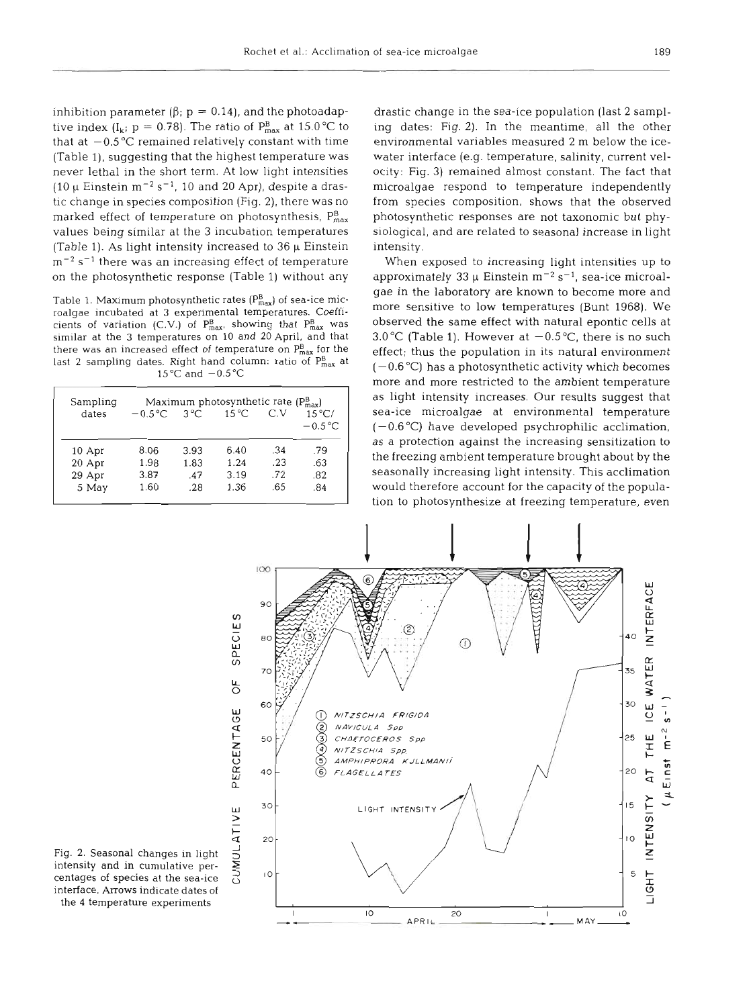inhibition parameter  $(\beta; p = 0.14)$ , and the photoadaptive index (I<sub>k</sub>;  $p = 0.78$ ). The ratio of  $P_{max}^B$  at 15.0 °C to that at  $-0.5$  °C remained relatively constant with time (Table l), suggesting that the highest temperature was never lethal in the short term. At low light intensitles (10  $\mu$  Einstein m<sup>-2</sup> s<sup>-1</sup>, 10 and 20 Apr), despite a drastic change in species composition (Fig. 2), there was no marked effect of temperature on photosynthesis,  $P_{\text{max}}^{\text{B}}$ values being similar at the *3* incubation temperatures (Table 1). As light intensity increased to  $36 \mu$  Einstein  $\rm m^{-2}$  s<sup>-1</sup> there was an increasing effect of temperature on the photosynthetic response (Table 1) without any

similar at the 3 temperatures on 10 and 20 April, and that  $t$ there was an increased effect of temperature on  $P_{\text{max}}^{\text{B}}$  for the effect; thus the population in its natural environm<br>last 2 sampling dates. Right hand column: ratio of  $P_{\text{max}}^{\text{B}}$  at  $(-0.6\degree\text{C})$  has a photosy 15 $\degree$ C and  $-0.5\degree$ C

| Sampling | Maximum photosynthetic rate $(P_{max}^B)$ |              |                |     |                 |
|----------|-------------------------------------------|--------------|----------------|-----|-----------------|
| dates    | $-0.5^{\circ}$ C                          | $3^{\circ}C$ | $15^{\circ}$ C | C.V | $15^{\circ}$ C/ |
|          |                                           |              |                |     | $-0.5\degree$ C |
| 10 Apr   | 8.06                                      | 3.93         | 6.40           | .34 | .79             |
| 20 Apr   | 1.98                                      | 1.83         | 1.24           | .23 | .63             |
| 29 Apr   | 3.87                                      | .47          | 3.19           | .72 | .82             |
| 5 May    | 1.60                                      | .28          | 1.36           | .65 | .84             |

drastic change in the sea-ice population (last 2 sampling dates: Fig. 2). In the meantime, all the other environmental variables measured 2 m below the icewater interface (e.g. temperature, salinity, current velocity: Fig. 3) remained almost constant. The fact that microalgae respond to temperature independently from species composition, shows that the observed photosynthetic responses are not taxonomic but physiological, and are related to seasonal increase in light intensity.

When exposed to increasing light intensities up to approximately 33  $\mu$  Einstein m<sup>-2</sup> s<sup>-1</sup>, sea-ice microal-Table 1. Maximum photosynthetic rates  $(P_{\text{max}}^B)$  of sea-ice mic-<br>more sensitive to low temperatures (Bunt 1968). We roalgae incubated at 3 experimental temperatures. Coeffi-<br>cients of variation (CV) of  $P^B$ , showing that  $P^B$ , was cobserved the same effect with natural epontic cells at cients of variation (C.V.) of  $P_{\text{max}}^B$ , showing that  $P_{\text{max}}^B$  was observed the same effect with natural epontic cells at similar at the 3 temperatures on 10 and 20 April, and that 3.0 °C (Table 1). However at  $-0.5$ more and more restricted to the ambient temperature as light intensity increases. Our results suggest that sea-ice microalgae at environmental temperature  $(-0.6 \degree C)$  have developed psychrophilic acclimation, as a protection against the increasing sensitization to the freezing ambient temperature brought about by the seasonally increasing light intensity. This acclimation would therefore account for the capacity of the population to photosynthesize at freezing temperature, even



Fig. 2. Seasonal changes in light intensity and in cumulative percentages of species at the sea-ice interface. Arrows indicate dat the 4 temperature experiments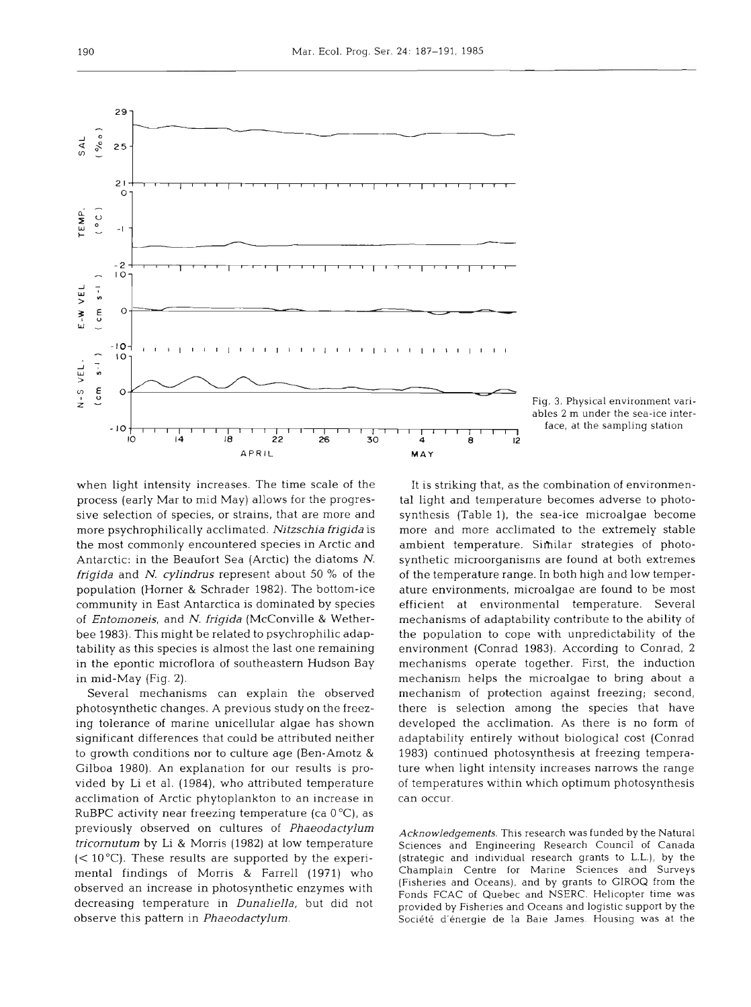

when light intensity increases. The time scale of the process (early Mar to mid May) allows for the progressive selection of species, or strains, that are more and more psychrophilically acclimated. *Nitzschia frigida* is the most commonly encountered species in Arctic and Antarctic: in the Beaufort Sea (Arctic) the diatoms *N. frigida* and *N. cylindrus* represent about 50 % of the population (Horner & Schrader 1982). The bottom-ice community in East Antarctica is dominated by species of *Entomoneis,* and *N. frigida* (McConville & Wetherbee 1983). This might be related to psychrophilic adaptability as this species is almost the last one remaining in the epontic microflora of southeastern Hudson Bay in mid-May (Fig. 2).

Several mechanisms can explain the observed photosynthetic changes. A previous study on the freezing tolerance of marine unicellular algae has shown significant differences that could be attributed neither to growth conditions nor to culture age (Ben-Amotz & Gilboa 1980). An explanation for our results is provided by Li et al. (1984), who attributed temperature acclimation of Arctic phytoplankton to an increase in RuBPC activity near freezing temperature (ca  $0^{\circ}$ C), as previously observed on cultures of *Phaeodactylurn tricornutum* by Li & Morris (1982) at low temperature  $(< 10^{\circ}$ C). These results are supported by the experimental findings of Morris & Farrell (1971) who observed an increase in photosynthetic enzymes with decreasing temperature in *Dunaliella,* but did not observe this pattern in *Phaeodactylum.* 

It is striking that, as the combination of environmental light and temperature becomes adverse to photosynthesis (Table l), the sea-ice microalgae become more and more acclimated to the extremely stable ambient temperature. Similar strategies of photosynthetic microorganisms are found at both extremes of the temperature range. In both high and low temperature environments, microalgae are found to be most efficient at environmental temperature. Several mechanisms of adaptability contribute to the ability of the population to cope with unpredictability of the environment (Conrad 1983). According to Conrad, 2 mechanisms operate together. First, the induction mechanism helps the microalgae to bring about a mechanism of protection against freezing; second, there is selection among the species that have developed the acclimation. As there is no form of adaptability entirely without biological cost (Conrad 1983) continued photosynthesis at freezing temperature when light intensity increases narrows the range of temperatures within which optimum photosynthesis can occur.

*Acknowledgements.* This research was funded by the Natural Sciences and Engineering Research Council of Canada (strategic and individual research grants to L.L.), by the Champlain Centre for Marine Sciences and Surveys (Fisheries and Oceans), and by grants to GIROQ from the Fonds FCAC of Quebec and NSERC. Helicopter time was provided by Fisheries and Oceans and logistic support by the Société d'énergie de la Baie James. Housing was at the